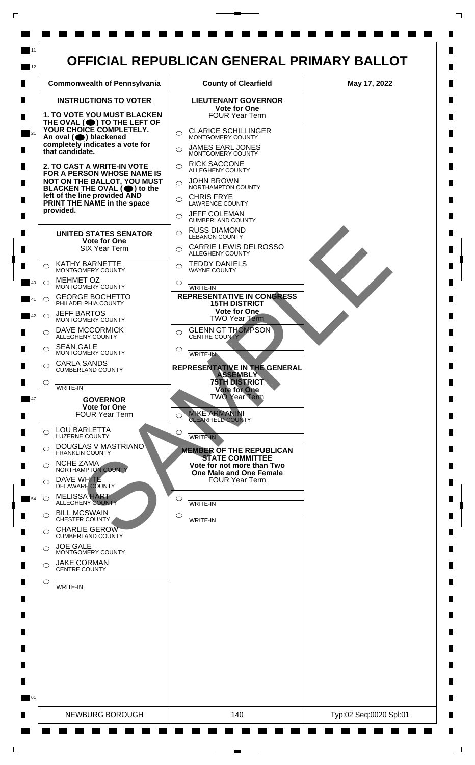

 $\mathsf{L}$